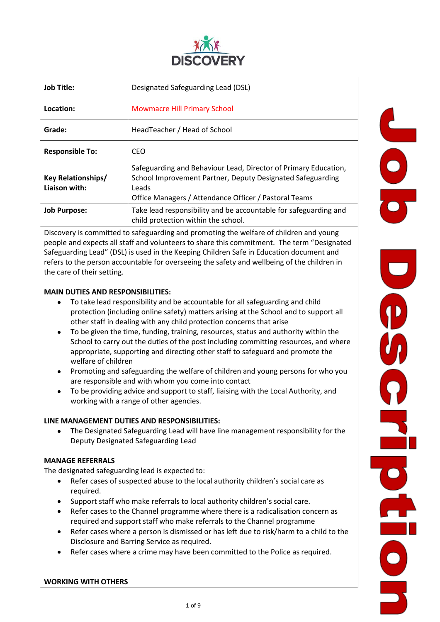

| Job Title:                                 | Designated Safeguarding Lead (DSL)                                                                                                                                                              |  |  |
|--------------------------------------------|-------------------------------------------------------------------------------------------------------------------------------------------------------------------------------------------------|--|--|
| Location:                                  | <b>Mowmacre Hill Primary School</b>                                                                                                                                                             |  |  |
| Grade:                                     | HeadTeacher / Head of School                                                                                                                                                                    |  |  |
| <b>Responsible To:</b>                     | CEO.                                                                                                                                                                                            |  |  |
| <b>Key Relationships/</b><br>Liaison with: | Safeguarding and Behaviour Lead, Director of Primary Education,<br>School Improvement Partner, Deputy Designated Safeguarding<br>Leads<br>Office Managers / Attendance Officer / Pastoral Teams |  |  |
| <b>Job Purpose:</b>                        | Take lead responsibility and be accountable for safeguarding and<br>child protection within the school.                                                                                         |  |  |

Discovery is committed to safeguarding and promoting the welfare of children and young people and expects all staff and volunteers to share this commitment. The term "Designated Safeguarding Lead" (DSL) is used in the Keeping Children Safe in Education document and refers to the person accountable for overseeing the safety and wellbeing of the children in the care of their setting.

## **MAIN DUTIES AND RESPONSIBILITIES:**

- To take lead responsibility and be accountable for all safeguarding and child protection (including online safety) matters arising at the School and to support all other staff in dealing with any child protection concerns that arise
- To be given the time, funding, training, resources, status and authority within the School to carry out the duties of the post including committing resources, and where appropriate, supporting and directing other staff to safeguard and promote the welfare of children
- Promoting and safeguarding the welfare of children and young persons for who you are responsible and with whom you come into contact
- To be providing advice and support to staff, liaising with the Local Authority, and working with a range of other agencies.

#### **LINE MANAGEMENT DUTIES AND RESPONSIBILITIES:**

• The Designated Safeguarding Lead will have line management responsibility for the Deputy Designated Safeguarding Lead

#### **MANAGE REFERRALS**

The designated safeguarding lead is expected to:

- Refer cases of suspected abuse to the local authority children's social care as required.
- Support staff who make referrals to local authority children's social care.
- Refer cases to the Channel programme where there is a radicalisation concern as required and support staff who make referrals to the Channel programme
- Refer cases where a person is dismissed or has left due to risk/harm to a child to the Disclosure and Barring Service as required.
- Refer cases where a crime may have been committed to the Police as required.

**WORKING WITH OTHERS**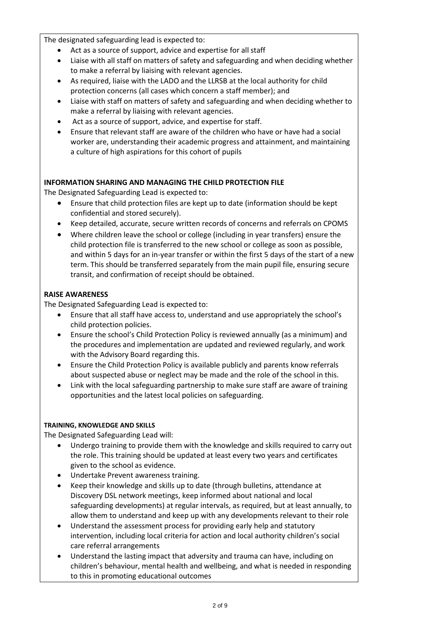The designated safeguarding lead is expected to:

- Act as a source of support, advice and expertise for all staff
- Liaise with all staff on matters of safety and safeguarding and when deciding whether to make a referral by liaising with relevant agencies.
- As required, liaise with the LADO and the LLRSB at the local authority for child protection concerns (all cases which concern a staff member); and
- Liaise with staff on matters of safety and safeguarding and when deciding whether to make a referral by liaising with relevant agencies.
- Act as a source of support, advice, and expertise for staff.
- Ensure that relevant staff are aware of the children who have or have had a social worker are, understanding their academic progress and attainment, and maintaining a culture of high aspirations for this cohort of pupils

# **INFORMATION SHARING AND MANAGING THE CHILD PROTECTION FILE**

The Designated Safeguarding Lead is expected to:

- Ensure that child protection files are kept up to date (information should be kept confidential and stored securely).
- Keep detailed, accurate, secure written records of concerns and referrals on CPOMS
- Where children leave the school or college (including in year transfers) ensure the child protection file is transferred to the new school or college as soon as possible, and within 5 days for an in-year transfer or within the first 5 days of the start of a new term. This should be transferred separately from the main pupil file, ensuring secure transit, and confirmation of receipt should be obtained.

## **RAISE AWARENESS**

The Designated Safeguarding Lead is expected to:

- Ensure that all staff have access to, understand and use appropriately the school's child protection policies.
- Ensure the school's Child Protection Policy is reviewed annually (as a minimum) and the procedures and implementation are updated and reviewed regularly, and work with the Advisory Board regarding this.
- Ensure the Child Protection Policy is available publicly and parents know referrals about suspected abuse or neglect may be made and the role of the school in this.
- Link with the local safeguarding partnership to make sure staff are aware of training opportunities and the latest local policies on safeguarding.

## **TRAINING, KNOWLEDGE AND SKILLS**

The Designated Safeguarding Lead will:

- Undergo training to provide them with the knowledge and skills required to carry out the role. This training should be updated at least every two years and certificates given to the school as evidence.
- Undertake Prevent awareness training.
- Keep their knowledge and skills up to date (through bulletins, attendance at Discovery DSL network meetings, keep informed about national and local safeguarding developments) at regular intervals, as required, but at least annually, to allow them to understand and keep up with any developments relevant to their role
- Understand the assessment process for providing early help and statutory intervention, including local criteria for action and local authority children's social care referral arrangements
- Understand the lasting impact that adversity and trauma can have, including on children's behaviour, mental health and wellbeing, and what is needed in responding to this in promoting educational outcomes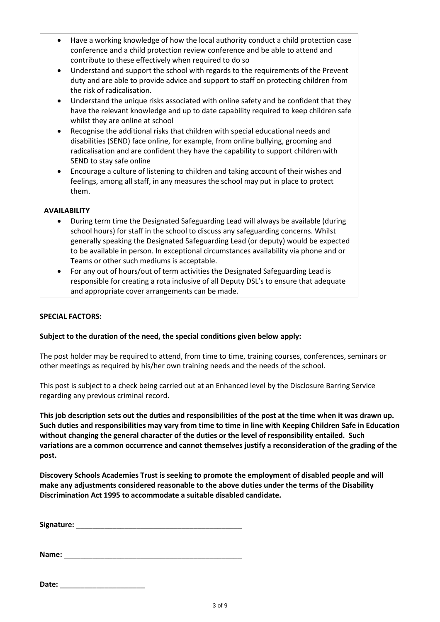- Have a working knowledge of how the local authority conduct a child protection case conference and a child protection review conference and be able to attend and contribute to these effectively when required to do so
- Understand and support the school with regards to the requirements of the Prevent duty and are able to provide advice and support to staff on protecting children from the risk of radicalisation.
- Understand the unique risks associated with online safety and be confident that they have the relevant knowledge and up to date capability required to keep children safe whilst they are online at school
- Recognise the additional risks that children with special educational needs and disabilities (SEND) face online, for example, from online bullying, grooming and radicalisation and are confident they have the capability to support children with SEND to stay safe online
- Encourage a culture of listening to children and taking account of their wishes and feelings, among all staff, in any measures the school may put in place to protect them.

#### **AVAILABILITY**

- During term time the Designated Safeguarding Lead will always be available (during school hours) for staff in the school to discuss any safeguarding concerns. Whilst generally speaking the Designated Safeguarding Lead (or deputy) would be expected to be available in person. In exceptional circumstances availability via phone and or Teams or other such mediums is acceptable.
- For any out of hours/out of term activities the Designated Safeguarding Lead is responsible for creating a rota inclusive of all Deputy DSL's to ensure that adequate and appropriate cover arrangements can be made.

#### **SPECIAL FACTORS:**

#### **Subject to the duration of the need, the special conditions given below apply:**

The post holder may be required to attend, from time to time, training courses, conferences, seminars or other meetings as required by his/her own training needs and the needs of the school.

This post is subject to a check being carried out at an Enhanced level by the Disclosure Barring Service regarding any previous criminal record.

**This job description sets out the duties and responsibilities of the post at the time when it was drawn up. Such duties and responsibilities may vary from time to time in line with Keeping Children Safe in Education without changing the general character of the duties or the level of responsibility entailed. Such variations are a common occurrence and cannot themselves justify a reconsideration of the grading of the post.**

**Discovery Schools Academies Trust is seeking to promote the employment of disabled people and will make any adjustments considered reasonable to the above duties under the terms of the Disability Discrimination Act 1995 to accommodate a suitable disabled candidate.**

**Signature:** \_\_\_\_\_\_\_\_\_\_\_\_\_\_\_\_\_\_\_\_\_\_\_\_\_\_\_\_\_\_\_\_\_\_\_\_\_\_\_\_\_

| Name: |  |  |  |
|-------|--|--|--|
|       |  |  |  |

| Date: |  |
|-------|--|
|       |  |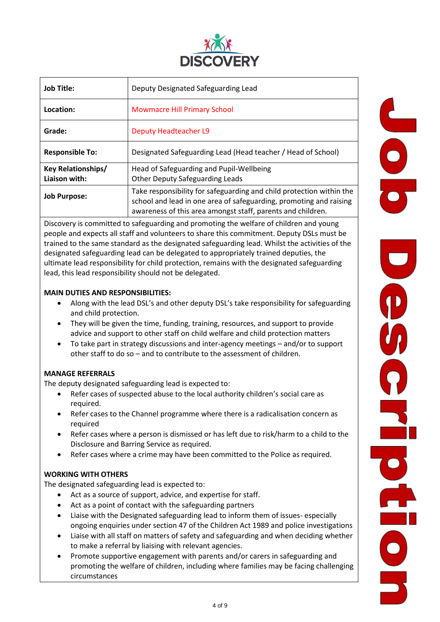

| <b>Job Title:</b>                          | Deputy Designated Safeguarding Lead                                                                                                                                                                       |  |  |
|--------------------------------------------|-----------------------------------------------------------------------------------------------------------------------------------------------------------------------------------------------------------|--|--|
| Location:                                  | <b>Mowmacre Hill Primary School</b>                                                                                                                                                                       |  |  |
| Grade:                                     | <b>Deputy Headteacher L9</b>                                                                                                                                                                              |  |  |
| <b>Responsible To:</b>                     | Designated Safeguarding Lead (Head teacher / Head of School)                                                                                                                                              |  |  |
| <b>Key Relationships/</b><br>Liaison with: | Head of Safeguarding and Pupil-Wellbeing<br><b>Other Deputy Safeguarding Leads</b>                                                                                                                        |  |  |
| <b>Job Purpose:</b>                        | Take responsibility for safeguarding and child protection within the<br>school and lead in one area of safeguarding, promoting and raising<br>awareness of this area amongst staff, parents and children. |  |  |

Discovery is committed to safeguarding and promoting the welfare of children and young people and expects all staff and volunteers to share this commitment. Deputy DSLs must be trained to the same standard as the designated safeguarding lead. Whilst the activities of the designated safeguarding lead can be delegated to appropriately trained deputies, the ultimate lead responsibility for child protection, remains with the designated safeguarding lead, this lead responsibility should not be delegated.

## **MAIN DUTIES AND RESPONSIBILITIES:**

- Along with the lead DSL's and other deputy DSL's take responsibility for safeguarding and child protection.
- They will be given the time, funding, training, resources, and support to provide advice and support to other staff on child welfare and child protection matters
- To take part in strategy discussions and inter-agency meetings and/or to support other staff to do so – and to contribute to the assessment of children.

## **MANAGE REFERRALS**

The deputy designated safeguarding lead is expected to:

- Refer cases of suspected abuse to the local authority children's social care as required.
- Refer cases to the Channel programme where there is a radicalisation concern as required
- Refer cases where a person is dismissed or has left due to risk/harm to a child to the Disclosure and Barring Service as required.
- Refer cases where a crime may have been committed to the Police as required.

## **WORKING WITH OTHERS**

The designated safeguarding lead is expected to:

- Act as a source of support, advice, and expertise for staff.
- Act as a point of contact with the safeguarding partners
- Liaise with the Designated safeguarding lead to inform them of issues- especially ongoing enquiries under section 47 of the Children Act 1989 and police investigations
- Liaise with all staff on matters of safety and safeguarding and when deciding whether to make a referral by liaising with relevant agencies.
- Promote supportive engagement with parents and/or carers in safeguarding and promoting the welfare of children, including where families may be facing challenging circumstances

**니**<br>0<br>5 U CHROLEOL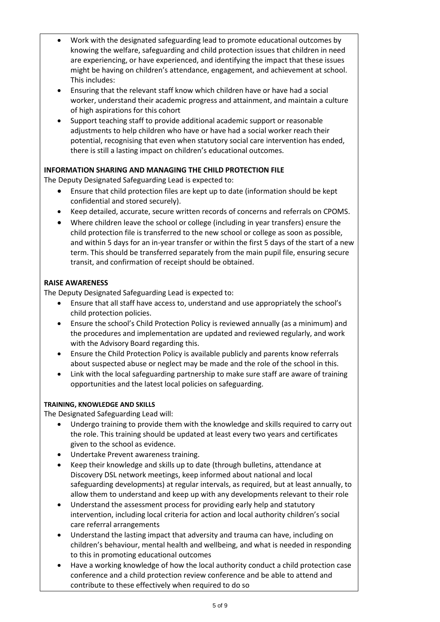- Work with the designated safeguarding lead to promote educational outcomes by knowing the welfare, safeguarding and child protection issues that children in need are experiencing, or have experienced, and identifying the impact that these issues might be having on children's attendance, engagement, and achievement at school. This includes:
- Ensuring that the relevant staff know which children have or have had a social worker, understand their academic progress and attainment, and maintain a culture of high aspirations for this cohort
- Support teaching staff to provide additional academic support or reasonable adjustments to help children who have or have had a social worker reach their potential, recognising that even when statutory social care intervention has ended, there is still a lasting impact on children's educational outcomes.

# **INFORMATION SHARING AND MANAGING THE CHILD PROTECTION FILE**

The Deputy Designated Safeguarding Lead is expected to:

- Ensure that child protection files are kept up to date (information should be kept confidential and stored securely).
- Keep detailed, accurate, secure written records of concerns and referrals on CPOMS.
- Where children leave the school or college (including in year transfers) ensure the child protection file is transferred to the new school or college as soon as possible, and within 5 days for an in-year transfer or within the first 5 days of the start of a new term. This should be transferred separately from the main pupil file, ensuring secure transit, and confirmation of receipt should be obtained.

# **RAISE AWARENESS**

The Deputy Designated Safeguarding Lead is expected to:

- Ensure that all staff have access to, understand and use appropriately the school's child protection policies.
- Ensure the school's Child Protection Policy is reviewed annually (as a minimum) and the procedures and implementation are updated and reviewed regularly, and work with the Advisory Board regarding this.
- Ensure the Child Protection Policy is available publicly and parents know referrals about suspected abuse or neglect may be made and the role of the school in this.
- Link with the local safeguarding partnership to make sure staff are aware of training opportunities and the latest local policies on safeguarding.

## **TRAINING, KNOWLEDGE AND SKILLS**

The Designated Safeguarding Lead will:

- Undergo training to provide them with the knowledge and skills required to carry out the role. This training should be updated at least every two years and certificates given to the school as evidence.
- Undertake Prevent awareness training.
- Keep their knowledge and skills up to date (through bulletins, attendance at Discovery DSL network meetings, keep informed about national and local safeguarding developments) at regular intervals, as required, but at least annually, to allow them to understand and keep up with any developments relevant to their role
- Understand the assessment process for providing early help and statutory intervention, including local criteria for action and local authority children's social care referral arrangements
- Understand the lasting impact that adversity and trauma can have, including on children's behaviour, mental health and wellbeing, and what is needed in responding to this in promoting educational outcomes
- Have a working knowledge of how the local authority conduct a child protection case conference and a child protection review conference and be able to attend and contribute to these effectively when required to do so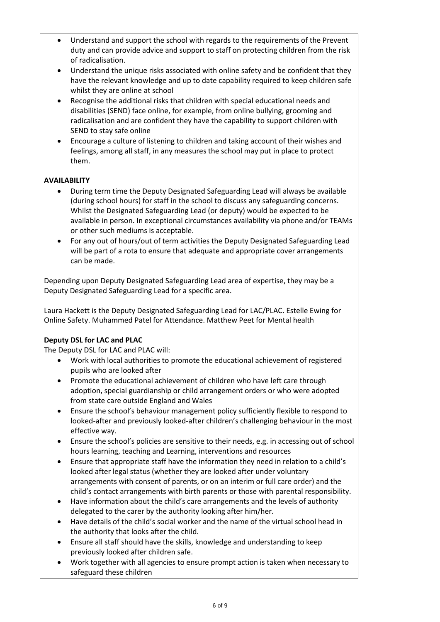- Understand and support the school with regards to the requirements of the Prevent duty and can provide advice and support to staff on protecting children from the risk of radicalisation.
- Understand the unique risks associated with online safety and be confident that they have the relevant knowledge and up to date capability required to keep children safe whilst they are online at school
- Recognise the additional risks that children with special educational needs and disabilities (SEND) face online, for example, from online bullying, grooming and radicalisation and are confident they have the capability to support children with SEND to stay safe online
- Encourage a culture of listening to children and taking account of their wishes and feelings, among all staff, in any measures the school may put in place to protect them.

## **AVAILABILITY**

- During term time the Deputy Designated Safeguarding Lead will always be available (during school hours) for staff in the school to discuss any safeguarding concerns. Whilst the Designated Safeguarding Lead (or deputy) would be expected to be available in person. In exceptional circumstances availability via phone and/or TEAMs or other such mediums is acceptable.
- For any out of hours/out of term activities the Deputy Designated Safeguarding Lead will be part of a rota to ensure that adequate and appropriate cover arrangements can be made.

Depending upon Deputy Designated Safeguarding Lead area of expertise, they may be a Deputy Designated Safeguarding Lead for a specific area.

Laura Hackett is the Deputy Designated Safeguarding Lead for LAC/PLAC. Estelle Ewing for Online Safety. Muhammed Patel for Attendance. Matthew Peet for Mental health

## **Deputy DSL for LAC and PLAC**

The Deputy DSL for LAC and PLAC will:

- Work with local authorities to promote the educational achievement of registered pupils who are looked after
- Promote the educational achievement of children who have left care through adoption, special guardianship or child arrangement orders or who were adopted from state care outside England and Wales
- Ensure the school's behaviour management policy sufficiently flexible to respond to looked-after and previously looked-after children's challenging behaviour in the most effective way.
- Ensure the school's policies are sensitive to their needs, e.g. in accessing out of school hours learning, teaching and Learning, interventions and resources
- Ensure that appropriate staff have the information they need in relation to a child's looked after legal status (whether they are looked after under voluntary arrangements with consent of parents, or on an interim or full care order) and the child's contact arrangements with birth parents or those with parental responsibility.
- Have information about the child's care arrangements and the levels of authority delegated to the carer by the authority looking after him/her.
- Have details of the child's social worker and the name of the virtual school head in the authority that looks after the child.
- Ensure all staff should have the skills, knowledge and understanding to keep previously looked after children safe.
- Work together with all agencies to ensure prompt action is taken when necessary to safeguard these children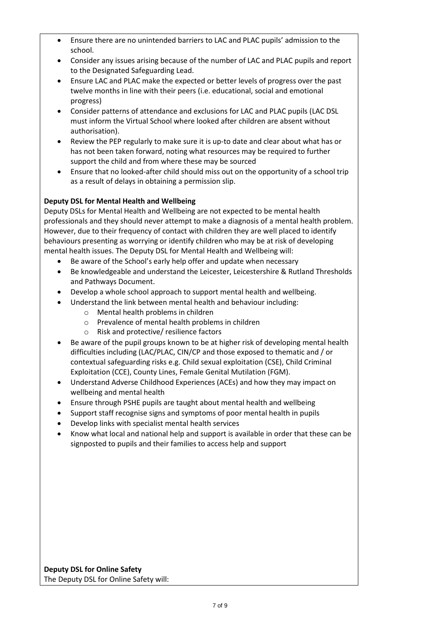- Ensure there are no unintended barriers to LAC and PLAC pupils' admission to the school.
- Consider any issues arising because of the number of LAC and PLAC pupils and report to the Designated Safeguarding Lead.
- Ensure LAC and PLAC make the expected or better levels of progress over the past twelve months in line with their peers (i.e. educational, social and emotional progress)
- Consider patterns of attendance and exclusions for LAC and PLAC pupils (LAC DSL must inform the Virtual School where looked after children are absent without authorisation).
- Review the PEP regularly to make sure it is up-to date and clear about what has or has not been taken forward, noting what resources may be required to further support the child and from where these may be sourced
- Ensure that no looked-after child should miss out on the opportunity of a school trip as a result of delays in obtaining a permission slip.

# **Deputy DSL for Mental Health and Wellbeing**

Deputy DSLs for Mental Health and Wellbeing are not expected to be mental health professionals and they should never attempt to make a diagnosis of a mental health problem. However, due to their frequency of contact with children they are well placed to identify behaviours presenting as worrying or identify children who may be at risk of developing mental health issues. The Deputy DSL for Mental Health and Wellbeing will:

- Be aware of the School's early help offer and update when necessary
- Be knowledgeable and understand the Leicester, Leicestershire & Rutland Thresholds and Pathways Document.
- Develop a whole school approach to support mental health and wellbeing.
- Understand the link between mental health and behaviour including:
	- o Mental health problems in children
	- o Prevalence of mental health problems in children
	- o Risk and protective/ resilience factors
- Be aware of the pupil groups known to be at higher risk of developing mental health difficulties including (LAC/PLAC, CIN/CP and those exposed to thematic and / or contextual safeguarding risks e.g. Child sexual exploitation (CSE), Child Criminal Exploitation (CCE), County Lines, Female Genital Mutilation (FGM).
- Understand Adverse Childhood Experiences (ACEs) and how they may impact on wellbeing and mental health
- Ensure through PSHE pupils are taught about mental health and wellbeing
- Support staff recognise signs and symptoms of poor mental health in pupils
- Develop links with specialist mental health services
- Know what local and national help and support is available in order that these can be signposted to pupils and their families to access help and support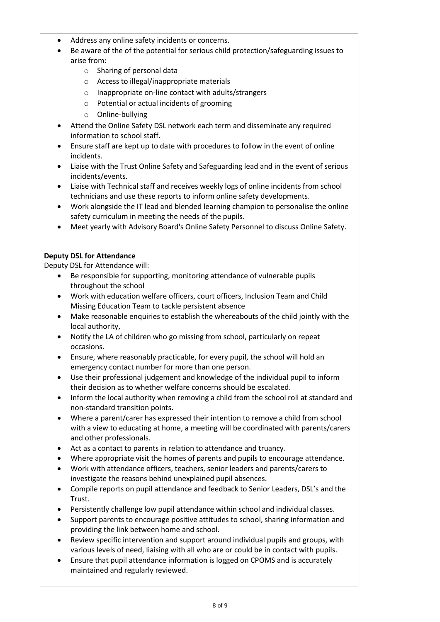- Address any online safety incidents or concerns.
- Be aware of the of the potential for serious child protection/safeguarding issues to arise from:
	- o Sharing of personal data
	- o Access to illegal/inappropriate materials
	- o Inappropriate on-line contact with adults/strangers
	- o Potential or actual incidents of grooming
	- o Online-bullying
- Attend the Online Safety DSL network each term and disseminate any required information to school staff.
- Ensure staff are kept up to date with procedures to follow in the event of online incidents.
- Liaise with the Trust Online Safety and Safeguarding lead and in the event of serious incidents/events.
- Liaise with Technical staff and receives weekly logs of online incidents from school technicians and use these reports to inform online safety developments.
- Work alongside the IT lead and blended learning champion to personalise the online safety curriculum in meeting the needs of the pupils.
- Meet yearly with Advisory Board's Online Safety Personnel to discuss Online Safety.

# **Deputy DSL for Attendance**

Deputy DSL for Attendance will:

- Be responsible for supporting, monitoring attendance of vulnerable pupils throughout the school
- Work with education welfare officers, court officers, Inclusion Team and Child Missing Education Team to tackle persistent absence
- Make reasonable enquiries to establish the whereabouts of the child jointly with the local authority,
- Notify the LA of children who go missing from school, particularly on repeat occasions.
- Ensure, where reasonably practicable, for every pupil, the school will hold an emergency contact number for more than one person.
- Use their professional judgement and knowledge of the individual pupil to inform their decision as to whether welfare concerns should be escalated.
- Inform the local authority when removing a child from the school roll at standard and non-standard transition points.
- Where a parent/carer has expressed their intention to remove a child from school with a view to educating at home, a meeting will be coordinated with parents/carers and other professionals.
- Act as a contact to parents in relation to attendance and truancy.
- Where appropriate visit the homes of parents and pupils to encourage attendance.
- Work with attendance officers, teachers, senior leaders and parents/carers to investigate the reasons behind unexplained pupil absences.
- Compile reports on pupil attendance and feedback to Senior Leaders, DSL's and the Trust.
- Persistently challenge low pupil attendance within school and individual classes.
- Support parents to encourage positive attitudes to school, sharing information and providing the link between home and school.
- Review specific intervention and support around individual pupils and groups, with various levels of need, liaising with all who are or could be in contact with pupils.
- Ensure that pupil attendance information is logged on CPOMS and is accurately maintained and regularly reviewed.